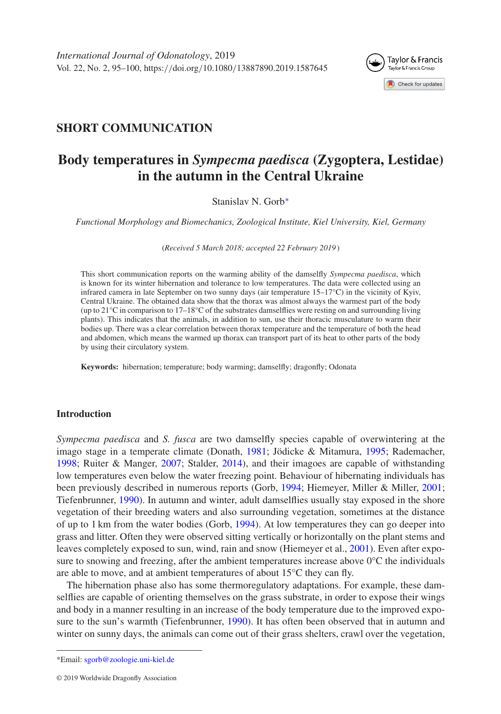

# **SHORT COMMUNICATION**

# **Body temperatures in** *Sympecma paedisca* **(Zygoptera, Lestidae) in the autumn in the Central Ukraine**

Stanislav N. Gorb[∗](#page-0-0)

*Functional Morphology and Biomechanics, Zoological Institute, Kiel University, Kiel, Germany*

(*Received 5 March 2018; accepted 22 February 2019* )

This short communication reports on the warming ability of the damselfly *Sympecma paedisca*, which is known for its winter hibernation and tolerance to low temperatures. The data were collected using an infrared camera in late September on two sunny days (air temperature 15–17°C) in the vicinity of Kyiv, Central Ukraine. The obtained data show that the thorax was almost always the warmest part of the body (up to 21°C in comparison to 17–18°C of the substrates damselflies were resting on and surrounding living plants). This indicates that the animals, in addition to sun, use their thoracic musculature to warm their bodies up. There was a clear correlation between thorax temperature and the temperature of both the head and abdomen, which means the warmed up thorax can transport part of its heat to other parts of the body by using their circulatory system.

**Keywords:** hibernation; temperature; body warming; damselfly; dragonfly; Odonata

# **Introduction**

*Sympecma paedisca* and *S. fusca* are two damselfly species capable of overwintering at the imago stage in a temperate climate (Donath, [1981;](#page-5-0) Jödicke & Mitamura, [1995;](#page-5-1) Rademacher, [1998;](#page-5-2) Ruiter & Manger, [2007;](#page-5-3) Stalder, [2014\)](#page-5-4), and their imagoes are capable of withstanding low temperatures even below the water freezing point. Behaviour of hibernating individuals has been previously described in numerous reports (Gorb, [1994;](#page-5-5) Hiemeyer, Miller & Miller, [2001;](#page-5-6) Tiefenbrunner, [1990\)](#page-5-7). In autumn and winter, adult damselflies usually stay exposed in the shore vegetation of their breeding waters and also surrounding vegetation, sometimes at the distance of up to 1 km from the water bodies (Gorb, [1994\)](#page-5-5). At low temperatures they can go deeper into grass and litter. Often they were observed sitting vertically or horizontally on the plant stems and leaves completely exposed to sun, wind, rain and snow (Hiemeyer et al., [2001\)](#page-5-6). Even after exposure to snowing and freezing, after the ambient temperatures increase above  $0^{\circ}$ C the individuals are able to move, and at ambient temperatures of about 15°C they can fly.

The hibernation phase also has some thermoregulatory adaptations. For example, these damselflies are capable of orienting themselves on the grass substrate, in order to expose their wings and body in a manner resulting in an increase of the body temperature due to the improved exposure to the sun's warmth (Tiefenbrunner, [1990\)](#page-5-7). It has often been observed that in autumn and winter on sunny days, the animals can come out of their grass shelters, crawl over the vegetation,

<span id="page-0-0"></span><sup>\*</sup>Email: [sgorb@zoologie.uni-kiel.de](mailto:sgorb@zoologie.uni-kiel.de)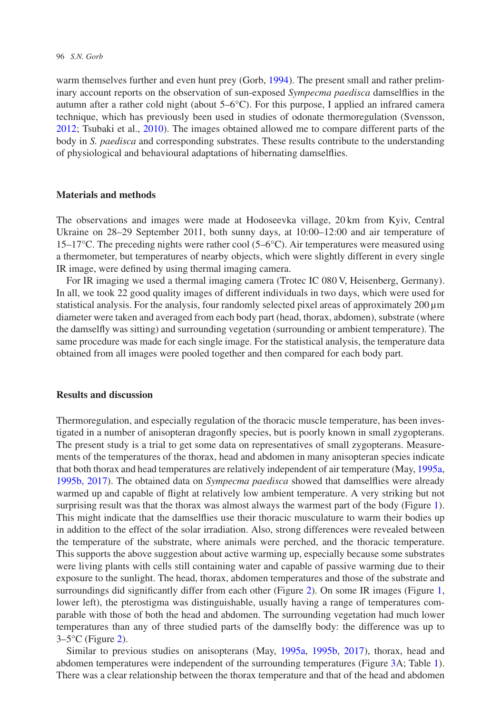#### 96 *S.N. Gorb*

warm themselves further and even hunt prey (Gorb, [1994\)](#page-5-5). The present small and rather preliminary account reports on the observation of sun-exposed *Sympecma paedisca* damselflies in the autumn after a rather cold night (about 5–6°C). For this purpose, I applied an infrared camera technique, which has previously been used in studies of odonate thermoregulation (Svensson, [2012;](#page-5-8) Tsubaki et al., [2010\)](#page-5-9). The images obtained allowed me to compare different parts of the body in *S. paedisca* and corresponding substrates. These results contribute to the understanding of physiological and behavioural adaptations of hibernating damselflies.

# **Materials and methods**

The observations and images were made at Hodoseevka village, 20 km from Kyiv, Central Ukraine on 28–29 September 2011, both sunny days, at 10:00–12:00 and air temperature of  $15-17$ °C. The preceding nights were rather cool (5–6°C). Air temperatures were measured using a thermometer, but temperatures of nearby objects, which were slightly different in every single IR image, were defined by using thermal imaging camera.

For IR imaging we used a thermal imaging camera (Trotec IC 080 V, Heisenberg, Germany). In all, we took 22 good quality images of different individuals in two days, which were used for statistical analysis. For the analysis, four randomly selected pixel areas of approximately  $200 \mu m$ diameter were taken and averaged from each body part (head, thorax, abdomen), substrate (where the damselfly was sitting) and surrounding vegetation (surrounding or ambient temperature). The same procedure was made for each single image. For the statistical analysis, the temperature data obtained from all images were pooled together and then compared for each body part.

# **Results and discussion**

Thermoregulation, and especially regulation of the thoracic muscle temperature, has been investigated in a number of anisopteran dragonfly species, but is poorly known in small zygopterans. The present study is a trial to get some data on representatives of small zygopterans. Measurements of the temperatures of the thorax, head and abdomen in many anisopteran species indicate that both thorax and head temperatures are relatively independent of air temperature (May, [1995a,](#page-5-10) [1995b,](#page-5-11) [2017\)](#page-5-12). The obtained data on *Sympecma paedisca* showed that damselflies were already warmed up and capable of flight at relatively low ambient temperature. A very striking but not surprising result was that the thorax was almost always the warmest part of the body (Figure [1\)](#page-2-0). This might indicate that the damselflies use their thoracic musculature to warm their bodies up in addition to the effect of the solar irradiation. Also, strong differences were revealed between the temperature of the substrate, where animals were perched, and the thoracic temperature. This supports the above suggestion about active warming up, especially because some substrates were living plants with cells still containing water and capable of passive warming due to their exposure to the sunlight. The head, thorax, abdomen temperatures and those of the substrate and surroundings did significantly differ from each other (Figure [2\)](#page-3-0). On some IR images (Figure [1,](#page-2-0) lower left), the pterostigma was distinguishable, usually having a range of temperatures comparable with those of both the head and abdomen. The surrounding vegetation had much lower temperatures than any of three studied parts of the damselfly body: the difference was up to  $3-5$ °C (Figure [2\)](#page-3-0).

Similar to previous studies on anisopterans (May, [1995a,](#page-5-10) [1995b,](#page-5-11) [2017\)](#page-5-12), thorax, head and abdomen temperatures were independent of the surrounding temperatures (Figure [3A](#page-4-0); Table [1\)](#page-3-1). There was a clear relationship between the thorax temperature and that of the head and abdomen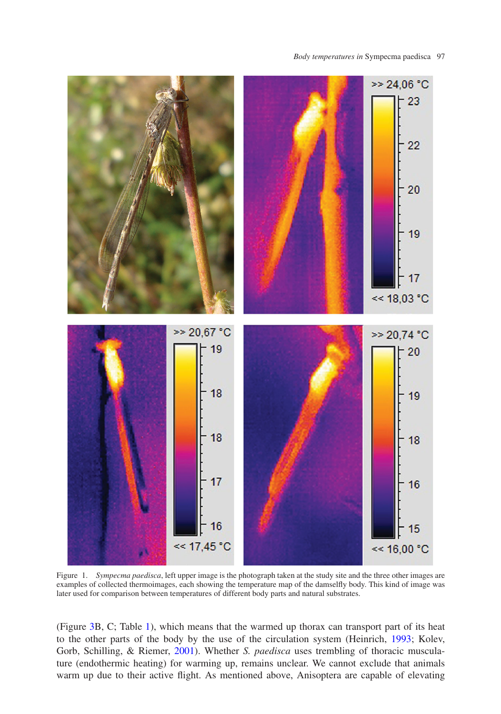*Body temperatures in* Sympecma paedisca 97



<span id="page-2-0"></span>Figure 1. *Sympecma paedisca*, left upper image is the photograph taken at the study site and the three other images are examples of collected thermoimages, each showing the temperature map of the damselfly body. This kind of image was later used for comparison between temperatures of different body parts and natural substrates.

(Figure [3B](#page-4-0), C; Table [1\)](#page-3-1), which means that the warmed up thorax can transport part of its heat to the other parts of the body by the use of the circulation system (Heinrich, [1993;](#page-5-13) Kolev, Gorb, Schilling, & Riemer, [2001\)](#page-5-14). Whether *S. paedisca* uses trembling of thoracic musculature (endothermic heating) for warming up, remains unclear. We cannot exclude that animals warm up due to their active flight. As mentioned above, Anisoptera are capable of elevating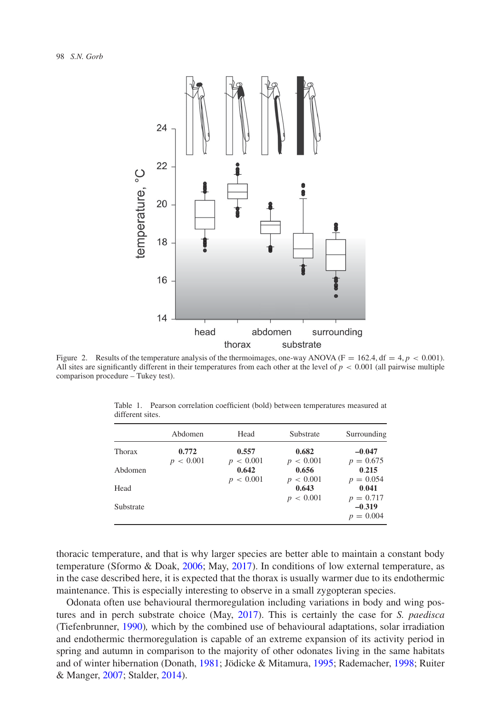

<span id="page-3-0"></span>Figure 2. Results of the temperature analysis of the thermoimages, one-way ANOVA ( $F = 162.4$ , df = 4,  $p < 0.001$ ). All sites are significantly different in their temperatures from each other at the level of  $p < 0.001$  (all pairwise multiple comparison procedure – Tukey test).

<span id="page-3-1"></span>

|           | Abdomen            | Head                              | Substrate                            | Surrounding             |
|-----------|--------------------|-----------------------------------|--------------------------------------|-------------------------|
| Thorax    | 0.772<br>p < 0.001 | 0.557<br>< 0.001<br>$\mathcal{D}$ | 0.682<br>< 0.001<br>$\boldsymbol{p}$ | $-0.047$<br>$p = 0.675$ |
| Abdomen   |                    | 0.642<br>p < 0.001                | 0.656<br>p < 0.001                   | 0.215<br>$p = 0.054$    |
| Head      |                    |                                   | 0.643<br>p < 0.001                   | 0.041<br>$p = 0.717$    |
| Substrate |                    |                                   |                                      | $-0.319$<br>$p = 0.004$ |

Table 1. Pearson correlation coefficient (bold) between temperatures measured at different sites.

thoracic temperature, and that is why larger species are better able to maintain a constant body temperature (Sformo & Doak, [2006;](#page-5-15) May, [2017\)](#page-5-12). In conditions of low external temperature, as in the case described here, it is expected that the thorax is usually warmer due to its endothermic maintenance. This is especially interesting to observe in a small zygopteran species.

Odonata often use behavioural thermoregulation including variations in body and wing postures and in perch substrate choice (May, [2017\)](#page-5-12). This is certainly the case for *S. paedisca* (Tiefenbrunner, [1990\)](#page-5-7)*,* which by the combined use of behavioural adaptations, solar irradiation and endothermic thermoregulation is capable of an extreme expansion of its activity period in spring and autumn in comparison to the majority of other odonates living in the same habitats and of winter hibernation (Donath, [1981;](#page-5-0) Jödicke & Mitamura, [1995;](#page-5-1) Rademacher, [1998;](#page-5-2) Ruiter & Manger, [2007;](#page-5-3) Stalder, [2014\)](#page-5-4).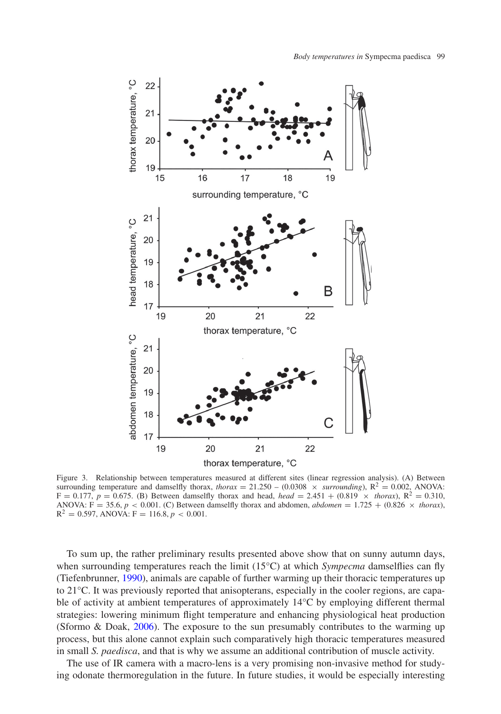

<span id="page-4-0"></span>Figure 3. Relationship between temperatures measured at different sites (linear regression analysis). (A) Between surrounding temperature and damselfly thorax, *thorax* = 21.250 – (0.0308  $\times$  *surrounding*),  $R^2 = 0.002$ , ANOVA:  $F = 0.177$ ,  $p = 0.675$ . (B) Between damselfly thorax and head, *head* = 2.451 + (0.819  $\times$  *thorax*),  $R^2 = 0.310$ , ANOVA: F = 35.6,  $p < 0.001$ . (C) Between damselfly thorax and abdomen, *abdomen* = 1.725 + (0.826  $\times$  *thorax*),  $R^2 = 0.597$ , ANOVA:  $F = 116.8$ ,  $p < 0.001$ .

To sum up, the rather preliminary results presented above show that on sunny autumn days, when surrounding temperatures reach the limit (15°C) at which *Sympecma* damselflies can fly (Tiefenbrunner, [1990\)](#page-5-7), animals are capable of further warming up their thoracic temperatures up to 21°C. It was previously reported that anisopterans, especially in the cooler regions, are capable of activity at ambient temperatures of approximately 14°C by employing different thermal strategies: lowering minimum flight temperature and enhancing physiological heat production (Sformo & Doak, [2006\)](#page-5-15). The exposure to the sun presumably contributes to the warming up process, but this alone cannot explain such comparatively high thoracic temperatures measured in small *S. paedisca*, and that is why we assume an additional contribution of muscle activity.

The use of IR camera with a macro-lens is a very promising non-invasive method for studying odonate thermoregulation in the future. In future studies, it would be especially interesting